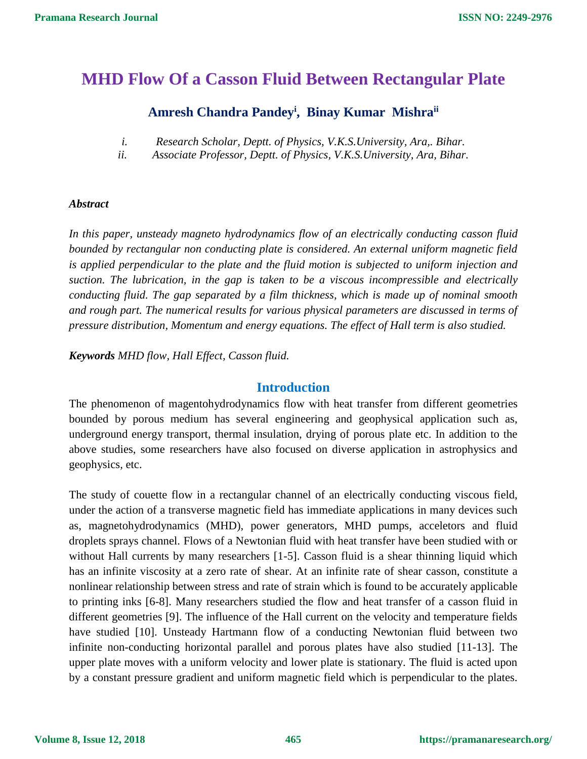# **MHD Flow Of a Casson Fluid Between Rectangular Plate**

# **Amresh Chandra Pandey<sup>i</sup> , Binay Kumar Mishraii**

- *i. Research Scholar, Deptt. of Physics, V.K.S.University, Ara,. Bihar.*
- *ii. Associate Professor, Deptt. of Physics, V.K.S.University, Ara, Bihar.*

#### *Abstract*

*In this paper, unsteady magneto hydrodynamics flow of an electrically conducting casson fluid bounded by rectangular non conducting plate is considered. An external uniform magnetic field is applied perpendicular to the plate and the fluid motion is subjected to uniform injection and suction. The lubrication, in the gap is taken to be a viscous incompressible and electrically conducting fluid. The gap separated by a film thickness, which is made up of nominal smooth and rough part. The numerical results for various physical parameters are discussed in terms of pressure distribution, Momentum and energy equations. The effect of Hall term is also studied.*

*Keywords MHD flow, Hall Effect, Casson fluid.*

## **Introduction**

The phenomenon of magentohydrodynamics flow with heat transfer from different geometries bounded by porous medium has several engineering and geophysical application such as, underground energy transport, thermal insulation, drying of porous plate etc. In addition to the above studies, some researchers have also focused on diverse application in astrophysics and geophysics, etc.

The study of couette flow in a rectangular channel of an electrically conducting viscous field, under the action of a transverse magnetic field has immediate applications in many devices such as, magnetohydrodynamics (MHD), power generators, MHD pumps, acceletors and fluid droplets sprays channel. Flows of a Newtonian fluid with heat transfer have been studied with or without Hall currents by many researchers [1-5]. Casson fluid is a shear thinning liquid which has an infinite viscosity at a zero rate of shear. At an infinite rate of shear casson, constitute a nonlinear relationship between stress and rate of strain which is found to be accurately applicable to printing inks [6-8]. Many researchers studied the flow and heat transfer of a casson fluid in different geometries [9]. The influence of the Hall current on the velocity and temperature fields have studied [10]. Unsteady Hartmann flow of a conducting Newtonian fluid between two infinite non-conducting horizontal parallel and porous plates have also studied [11-13]. The upper plate moves with a uniform velocity and lower plate is stationary. The fluid is acted upon by a constant pressure gradient and uniform magnetic field which is perpendicular to the plates.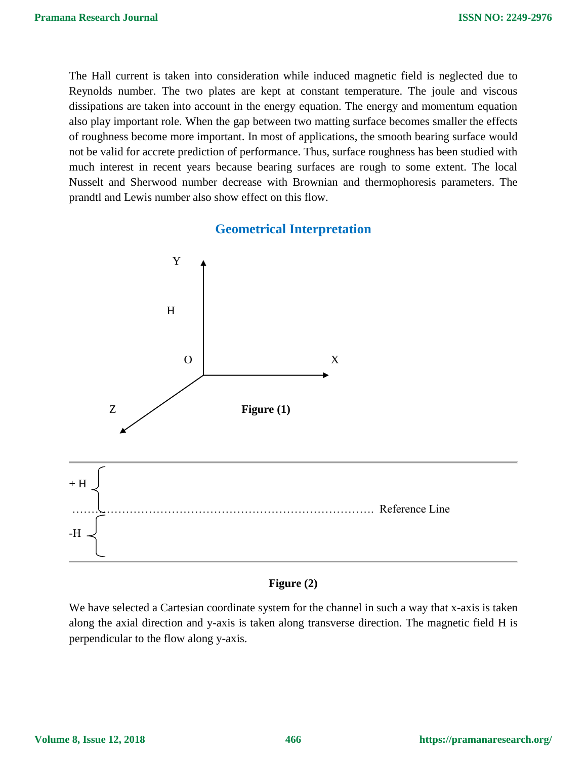The Hall current is taken into consideration while induced magnetic field is neglected due to Reynolds number. The two plates are kept at constant temperature. The joule and viscous dissipations are taken into account in the energy equation. The energy and momentum equation also play important role. When the gap between two matting surface becomes smaller the effects of roughness become more important. In most of applications, the smooth bearing surface would not be valid for accrete prediction of performance. Thus, surface roughness has been studied with much interest in recent years because bearing surfaces are rough to some extent. The local Nusselt and Sherwood number decrease with Brownian and thermophoresis parameters. The prandtl and Lewis number also show effect on this flow.

# **Geometrical Interpretation**



#### **Figure (2)**

We have selected a Cartesian coordinate system for the channel in such a way that x-axis is taken along the axial direction and y-axis is taken along transverse direction. The magnetic field H is perpendicular to the flow along y-axis.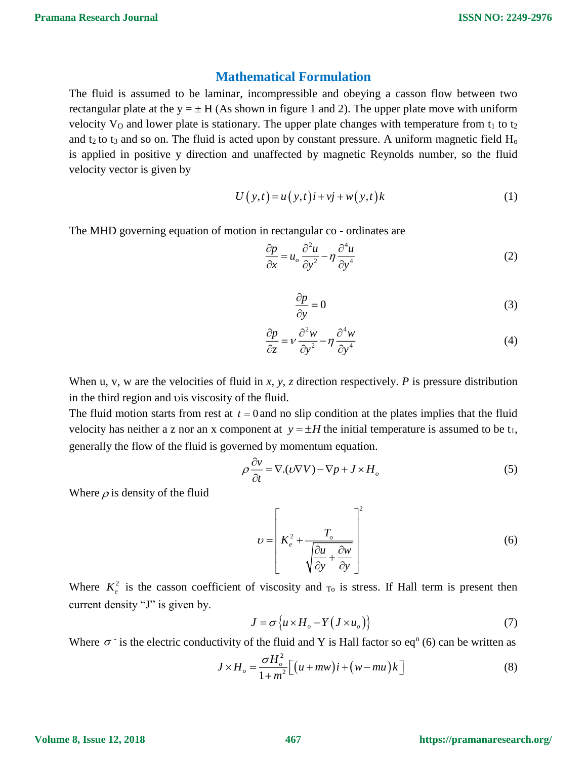### **Mathematical Formulation**

The fluid is assumed to be laminar, incompressible and obeying a casson flow between two rectangular plate at the  $y = \pm H$  (As shown in figure 1 and 2). The upper plate move with uniform velocity  $V_0$  and lower plate is stationary. The upper plate changes with temperature from  $t_1$  to  $t_2$ and  $t_2$  to  $t_3$  and so on. The fluid is acted upon by constant pressure. A uniform magnetic field  $H_0$ is applied in positive y direction and unaffected by magnetic Reynolds number, so the fluid velocity vector is given by

$$
U(y,t) = u(y,t)i + vj + w(y,t)k
$$
 (1)

The MHD governing equation of motion in rectangular co - ordinates are

$$
\frac{\partial p}{\partial x} = u_o \frac{\partial^2 u}{\partial y^2} - \eta \frac{\partial^4 u}{\partial y^4}
$$
 (2)

$$
\frac{\partial p}{\partial y} = 0\tag{3}
$$

$$
\frac{\partial p}{\partial z} = v \frac{\partial^2 w}{\partial y^2} - \eta \frac{\partial^4 w}{\partial y^4}
$$
(4)

When u, v, w are the velocities of fluid in *x, y, z* direction respectively. *P* is pressure distribution in the third region and vis viscosity of the fluid.

The fluid motion starts from rest at  $t = 0$  and no slip condition at the plates implies that the fluid velocity has neither a z nor an x component at  $y = \pm H$  the initial temperature is assumed to be  $t_1$ , generally the flow of the fluid is governed by momentum equation.

$$
\rho \frac{\partial v}{\partial t} = \nabla \cdot (v \nabla V) - \nabla p + J \times H_o \tag{5}
$$

Where  $\rho$  is density of the fluid

$$
v = \left[K_e^2 + \frac{T_o}{\sqrt{\frac{\partial u}{\partial y} + \frac{\partial w}{\partial y}}}\right]^2
$$
 (6)

Where  $K_e^2$  is the casson coefficient of viscosity and  $_{\text{To}}$  is stress. If Hall term is present then current density "J" is given by.

$$
J = \sigma \{ u \times H_o - Y (J \times u_o) \}
$$
 (7)

Where  $\sigma$  is the electric conductivity of the fluid and Y is Hall factor so eq<sup>n</sup> (6) can be written as

$$
J \times H_o = \frac{\sigma H_o^2}{1 + m^2} \Big[ \big( u + m w \big) i + \big( w - m u \big) k \Big] \tag{8}
$$

**Volume 8, Issue 12, 2018**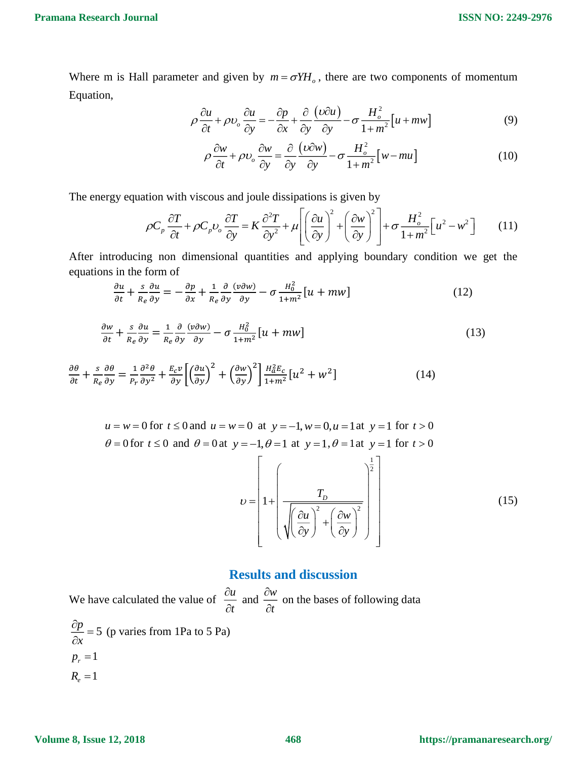Where m is Hall parameter and given by  $m = \sigma Y H_o$ , there are two components of momentum Equation,

$$
\rho \frac{\partial u}{\partial t} + \rho v_o \frac{\partial u}{\partial y} = -\frac{\partial p}{\partial x} + \frac{\partial}{\partial y} \frac{(\nu \partial u)}{\partial y} - \sigma \frac{H_o^2}{1 + m^2} [u + mw]
$$
(9)

$$
\rho \frac{\partial w}{\partial t} + \rho v_o \frac{\partial w}{\partial y} = \frac{\partial}{\partial y} \frac{(\nu \partial w)}{\partial y} - \sigma \frac{H_o^2}{1 + m^2} \left[ w - mu \right]
$$
(10)

The energy equation with viscous and joule dissipations is given by

$$
\rho C_p \frac{\partial T}{\partial t} + \rho C_p v_o \frac{\partial T}{\partial y} = K \frac{\partial^2 T}{\partial y^2} + \mu \left[ \left( \frac{\partial u}{\partial y} \right)^2 + \left( \frac{\partial w}{\partial y} \right)^2 \right] + \sigma \frac{H_o^2}{1 + m^2} \left[ u^2 - w^2 \right] \tag{11}
$$

After introducing non dimensional quantities and applying boundary condition we get the equations in the form of

$$
\frac{\partial u}{\partial t} + \frac{s}{R_e} \frac{\partial u}{\partial y} = -\frac{\partial p}{\partial x} + \frac{1}{R_e} \frac{\partial}{\partial y} \frac{(v \partial w)}{\partial y} - \sigma \frac{H_0^2}{1 + m^2} [u + mw] \tag{12}
$$

$$
\frac{\partial w}{\partial t} + \frac{s}{R_e} \frac{\partial u}{\partial y} = \frac{1}{R_e} \frac{\partial}{\partial y} \frac{(v \partial w)}{\partial y} - \sigma \frac{H_0^2}{1 + m^2} [u + mw]
$$
(13)

$$
\frac{\partial \theta}{\partial t} + \frac{s}{R_e} \frac{\partial \theta}{\partial y} = \frac{1}{P_r} \frac{\partial^2 \theta}{\partial y^2} + \frac{E_c v}{\partial y} \left[ \left( \frac{\partial u}{\partial y} \right)^2 + \left( \frac{\partial w}{\partial y} \right)^2 \right] \frac{H_a^2 E_c}{1 + m^2} [u^2 + w^2]
$$
(14)

$$
u = w = 0
$$
 for  $t \le 0$  and  $u = w = 0$  at  $y = -1$ ,  $w = 0$ ,  $u = 1$  at  $y = 1$  for  $t > 0$ ,  $\theta = 0$  for  $t \le 0$  and  $\theta = 0$  at  $y = -1$ ,  $\theta = 1$  at  $y = 1$ ,  $\theta = 1$  at  $y = 1$  for  $t > 0$ .

$$
U = \left[1 + \left(\frac{T_D}{\sqrt{\left(\frac{\partial u}{\partial y}\right)^2 + \left(\frac{\partial w}{\partial y}\right)^2}}\right)\right]
$$
(15)

## **Results and discussion**

We have calculated the value of  $\frac{\partial u}{\partial x}$ *t* д  $\frac{\partial u}{\partial t}$  and  $\frac{\partial w}{\partial t}$ *t* д  $\frac{\partial w}{\partial t}$  on the bases of following data  $\frac{p}{-}$  = 5 *x*  $\frac{\partial p}{\partial x}$  = 5 (p varies from 1Pa to 5 Pa)  $p_r = 1$  $R_{e} = 1$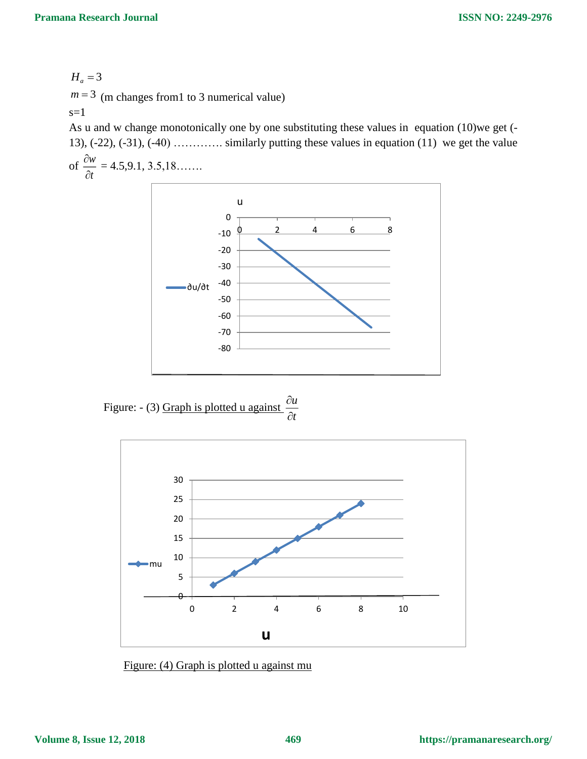$H_a = 3$  $m = 3$  (m changes from 1 to 3 numerical value) s=1

As u and w change monotonically one by one substituting these values in equation (10)we get (- 13),  $(-22)$ ,  $(-31)$ ,  $(-40)$  …………. similarly putting these values in equation  $(11)$  we get the value

of  $\frac{dw}{2}$ *t* д  $\frac{\partial w}{\partial t} = 4.5, 9.1, 3.5, 18...$ 



Figure:  $-$  (3) Graph is plotted u against  $\frac{\partial u}{\partial x}$ *t* д д



Figure: (4) Graph is plotted u against mu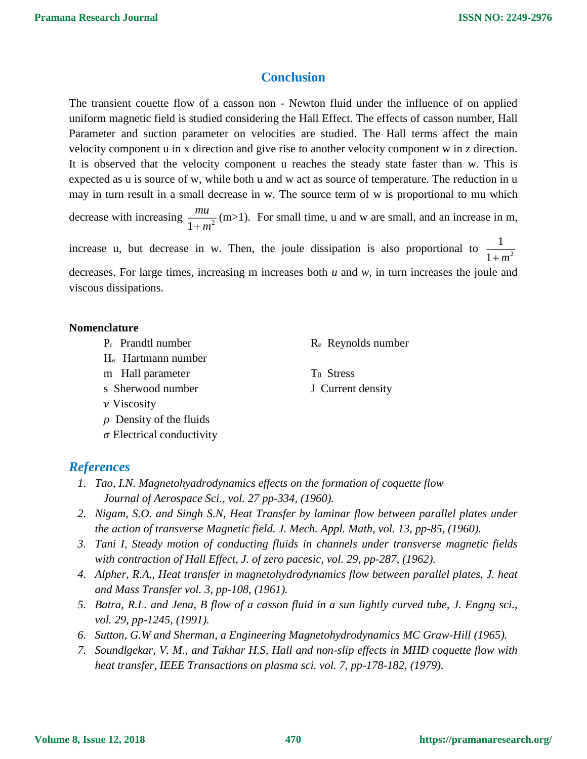# **Conclusion**

The transient couette flow of a casson non - Newton fluid under the influence of on applied uniform magnetic field is studied considering the Hall Effect. The effects of casson number, Hall Parameter and suction parameter on velocities are studied. The Hall terms affect the main velocity component u in x direction and give rise to another velocity component w in z direction. It is observed that the velocity component u reaches the steady state faster than w. This is expected as u is source of w, while both u and w act as source of temperature. The reduction in u may in turn result in a small decrease in w. The source term of w is proportional to mu which decrease with increasing  $\frac{mu}{1+m^2}$ *mu*  $\frac{m\mu}{(m+1)^2}$  (m>1). For small time, u and w are small, and an increase in m, increase u, but decrease in w. Then, the joule dissipation is also proportional to  $\frac{1}{1-z^2}$ 1 1 *<sup>m</sup>*

decreases. For large times, increasing m increases both *u* and *w,* in turn increases the joule and viscous dissipations.

#### **Nomenclature**

- $P_r$  Prandtl number  $R_e$  Reynolds number
- Ha Hartmann number
- m Hall parameter
- s Sherwood number
- $\nu$  Viscosity
- $\rho$  Density of the fluids
- $\sigma$  Electrical conductivity

## *References*

- *1. Tao, I.N. Magnetohyadrodynamics effects on the formation of coquette flow Journal of Aerospace Sci., vol. 27 pp-334, (1960).*
- *2. Nigam, S.O. and Singh S.N, Heat Transfer by laminar flow between parallel plates under the action of transverse Magnetic field. J. Mech. Appl. Math, vol. 13, pp-85, (1960).*
- *3. Tani I, Steady motion of conducting fluids in channels under transverse magnetic fields with contraction of Hall Effect, J. of zero pacesic, vol. 29, pp-287, (1962).*
- *4. Alpher, R.A., Heat transfer in magnetohydrodynamics flow between parallel plates, J. heat and Mass Transfer vol. 3, pp-108, (1961).*
- *5. Batra, R.L. and Jena, B flow of a casson fluid in a sun lightly curved tube, J. Engng sci., vol. 29, pp-1245, (1991).*
- *6. Sutton, G.W and Sherman, a Engineering Magnetohydrodynamics MC Graw-Hill (1965).*
- *7. Soundlgekar, V. M., and Takhar H.S, Hall and non-slip effects in MHD coquette flow with heat transfer, IEEE Transactions on plasma sci. vol. 7, pp-178-182, (1979).*

T0 Stress J Current density